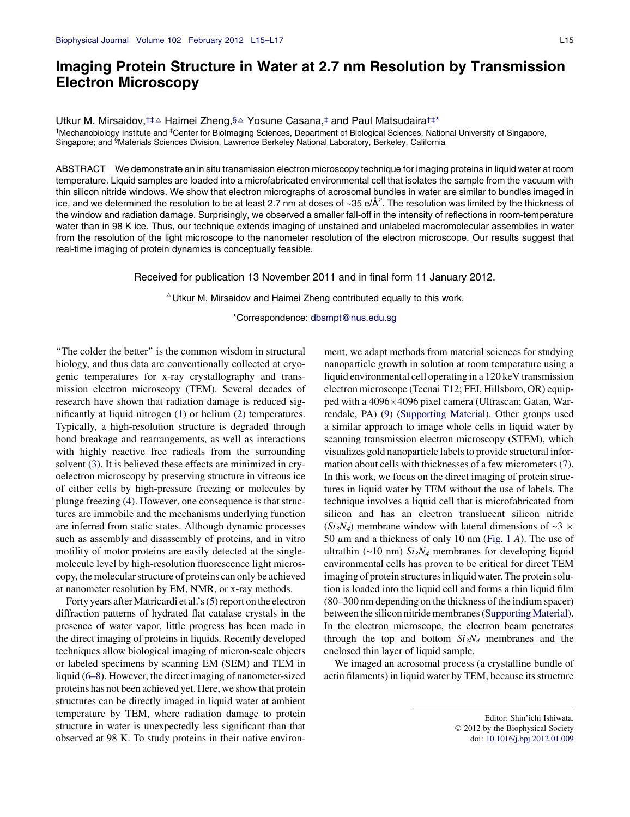## Imaging Protein Structure in Water at 2.7 nm Resolution by Transmission Electron Microscopy

Utkur M. Mirsaidov,<sup>†‡∆</sup> Haimei Zheng,§∆ Yosune Casana,‡ and Paul Matsudaira<sup>†‡\*</sup> <sup>†</sup>Mechanobiology Institute and <sup>‡</sup>Center for BioImaging Sciences, Department of Biological Sciences, National University of Singapore, Singapore; and <sup>§</sup>Materials Sciences Division, Lawrence Berkeley National Laboratory, Berkeley, California

ABSTRACT We demonstrate an in situ transmission electron microscopy technique for imaging proteins in liquid water at room temperature. Liquid samples are loaded into a microfabricated environmental cell that isolates the sample from the vacuum with thin silicon nitride windows. We show that electron micrographs of acrosomal bundles in water are similar to bundles imaged in ice, and we determined the resolution to be at least 2.7 nm at doses of ~35 e/Å<sup>2</sup>. The resolution was limited by the thickness of the window and radiation damage. Surprisingly, we observed a smaller fall-off in the intensity of reflections in room-temperature water than in 98 K ice. Thus, our technique extends imaging of unstained and unlabeled macromolecular assemblies in water from the resolution of the light microscope to the nanometer resolution of the electron microscope. Our results suggest that real-time imaging of protein dynamics is conceptually feasible.

Received for publication 13 November 2011 and in final form 11 January 2012.

 $\triangle$ Utkur M. Mirsaidov and Haimei Zheng contributed equally to this work.

\*Correspondence: [dbsmpt@nus.edu.sg](mailto:dbsmpt@nus.edu.sg)

''The colder the better'' is the common wisdom in structural biology, and thus data are conventionally collected at cryogenic temperatures for x-ray crystallography and transmission electron microscopy (TEM). Several decades of research have shown that radiation damage is reduced significantly at liquid nitrogen [\(1](#page-2-0)) or helium [\(2](#page-2-0)) temperatures. Typically, a high-resolution structure is degraded through bond breakage and rearrangements, as well as interactions with highly reactive free radicals from the surrounding solvent ([3\)](#page-2-0). It is believed these effects are minimized in cryoelectron microscopy by preserving structure in vitreous ice of either cells by high-pressure freezing or molecules by plunge freezing ([4\)](#page-2-0). However, one consequence is that structures are immobile and the mechanisms underlying function are inferred from static states. Although dynamic processes such as assembly and disassembly of proteins, and in vitro motility of motor proteins are easily detected at the singlemolecule level by high-resolution fluorescence light microscopy, the molecular structure of proteins can only be achieved at nanometer resolution by EM, NMR, or x-ray methods.

Forty years after Matricardi et al.'s ([5\)](#page-2-0) report on the electron diffraction patterns of hydrated flat catalase crystals in the presence of water vapor, little progress has been made in the direct imaging of proteins in liquids. Recently developed techniques allow biological imaging of micron-scale objects or labeled specimens by scanning EM (SEM) and TEM in liquid ([6–8\)](#page-2-0). However, the direct imaging of nanometer-sized proteins has not been achieved yet. Here, we show that protein structures can be directly imaged in liquid water at ambient temperature by TEM, where radiation damage to protein structure in water is unexpectedly less significant than that observed at 98 K. To study proteins in their native environment, we adapt methods from material sciences for studying nanoparticle growth in solution at room temperature using a liquid environmental cell operating in a 120 keV transmission electron microscope (Tecnai T12; FEI, Hillsboro, OR) equipped with a 4096×4096 pixel camera (Ultrascan; Gatan, Warrendale, PA) [\(9](#page-2-0)) [\(Supporting Material\)](#page-2-0). Other groups used a similar approach to image whole cells in liquid water by scanning transmission electron microscopy (STEM), which visualizes gold nanoparticle labels to provide structural information about cells with thicknesses of a few micrometers ([7\)](#page-2-0). In this work, we focus on the direct imaging of protein structures in liquid water by TEM without the use of labels. The technique involves a liquid cell that is microfabricated from silicon and has an electron translucent silicon nitride  $(Si<sub>3</sub>N<sub>4</sub>)$  membrane window with lateral dimensions of ~3  $\times$ 50  $\mu$ m and a thickness of only 10 nm [\(Fig. 1](#page-1-0) A). The use of ultrathin (~10 nm)  $Si<sub>3</sub>N<sub>4</sub>$  membranes for developing liquid environmental cells has proven to be critical for direct TEM imaging of protein structures in liquid water. The protein solution is loaded into the liquid cell and forms a thin liquid film (80–300 nm depending on the thickness of the indium spacer) between the silicon nitride membranes (Supporting Material). In the electron microscope, the electron beam penetrates through the top and bottom  $Si<sub>3</sub>N<sub>4</sub>$  membranes and the enclosed thin layer of liquid sample.

We imaged an acrosomal process (a crystalline bundle of actin filaments) in liquid water by TEM, because its structure

Editor: Shin'ichi Ishiwata. 2012 by the Biophysical Society doi: [10.1016/j.bpj.2012.01.009](http://dx.doi.org/10.1016/j.bpj.2012.01.009)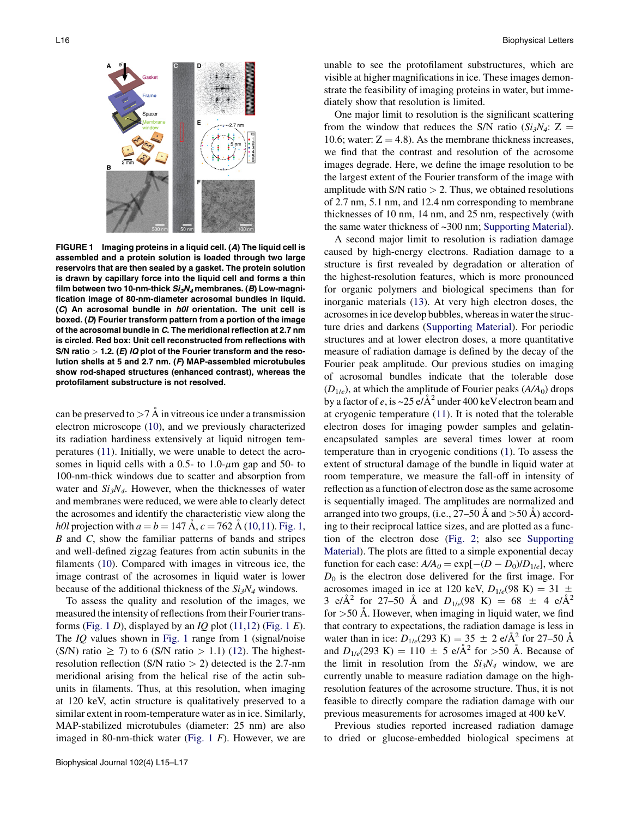<span id="page-1-0"></span>

FIGURE 1 Imaging proteins in a liquid cell. (A) The liquid cell is assembled and a protein solution is loaded through two large reservoirs that are then sealed by a gasket. The protein solution is drawn by capillary force into the liquid cell and forms a thin film between two 10-nm-thick  $Si<sub>3</sub>N<sub>4</sub>$  membranes. (B) Low-magnification image of 80-nm-diameter acrosomal bundles in liquid. (C) An acrosomal bundle in h0l orientation. The unit cell is boxed. (D) Fourier transform pattern from a portion of the image of the acrosomal bundle in C. The meridional reflection at 2.7 nm is circled. Red box: Unit cell reconstructed from reflections with S/N ratio  $>$  1.2. (E) IQ plot of the Fourier transform and the resolution shells at 5 and 2.7 nm. (F) MAP-assembled microtubules show rod-shaped structures (enhanced contrast), whereas the protofilament substructure is not resolved.

can be preserved to  $>7$  Å in vitreous ice under a transmission electron microscope ([10\)](#page-2-0), and we previously characterized its radiation hardiness extensively at liquid nitrogen temperatures [\(11](#page-2-0)). Initially, we were unable to detect the acrosomes in liquid cells with a 0.5- to 1.0- $\mu$ m gap and 50- to 100-nm-thick windows due to scatter and absorption from water and  $Si_3N<sub>4</sub>$ . However, when the thicknesses of water and membranes were reduced, we were able to clearly detect the acrosomes and identify the characteristic view along the *h0l* projection with  $a = b = 147$  Å,  $c = 762$  Å [\(10,11\)](#page-2-0). Fig. 1, B and C, show the familiar patterns of bands and stripes and well-defined zigzag features from actin subunits in the filaments [\(10](#page-2-0)). Compared with images in vitreous ice, the image contrast of the acrosomes in liquid water is lower because of the additional thickness of the  $Si<sub>3</sub>N<sub>4</sub>$  windows.

To assess the quality and resolution of the images, we measured the intensity of reflections from their Fourier transforms (Fig. 1 D), displayed by an  $IQ$  plot [\(11,12\)](#page-2-0) (Fig. 1  $E$ ). The *IQ* values shown in Fig. 1 range from 1 (signal/noise (S/N) ratio  $\geq$  7) to 6 (S/N ratio  $> 1.1$ ) [\(12](#page-2-0)). The highestresolution reflection (S/N ratio  $> 2$ ) detected is the 2.7-nm meridional arising from the helical rise of the actin subunits in filaments. Thus, at this resolution, when imaging at 120 keV, actin structure is qualitatively preserved to a similar extent in room-temperature water as in ice. Similarly, MAP-stabilized microtubules (diameter: 25 nm) are also imaged in 80-nm-thick water (Fig.  $1 \text{ } F$ ). However, we are unable to see the protofilament substructures, which are visible at higher magnifications in ice. These images demonstrate the feasibility of imaging proteins in water, but immediately show that resolution is limited.

One major limit to resolution is the significant scattering from the window that reduces the S/N ratio ( $Si_3N_4$ : Z = 10.6; water:  $Z = 4.8$ ). As the membrane thickness increases, we find that the contrast and resolution of the acrosome images degrade. Here, we define the image resolution to be the largest extent of the Fourier transform of the image with amplitude with  $S/N$  ratio  $> 2$ . Thus, we obtained resolutions of 2.7 nm, 5.1 nm, and 12.4 nm corresponding to membrane thicknesses of 10 nm, 14 nm, and 25 nm, respectively (with the same water thickness of ~300 nm; [Supporting Material\)](#page-2-0).

A second major limit to resolution is radiation damage caused by high-energy electrons. Radiation damage to a structure is first revealed by degradation or alteration of the highest-resolution features, which is more pronounced for organic polymers and biological specimens than for inorganic materials [\(13](#page-2-0)). At very high electron doses, the acrosomes in ice develop bubbles, whereas in water the structure dries and darkens [\(Supporting Material](#page-2-0)). For periodic structures and at lower electron doses, a more quantitative measure of radiation damage is defined by the decay of the Fourier peak amplitude. Our previous studies on imaging of acrosomal bundles indicate that the tolerable dose  $(D_{1/e})$ , at which the amplitude of Fourier peaks  $(A/A_0)$  drops by a factor of e, is ~25  $e/\text{\AA}^2$  under 400 keV electron beam and at cryogenic temperature ([11\)](#page-2-0). It is noted that the tolerable electron doses for imaging powder samples and gelatinencapsulated samples are several times lower at room temperature than in cryogenic conditions ([1\)](#page-2-0). To assess the extent of structural damage of the bundle in liquid water at room temperature, we measure the fall-off in intensity of reflection as a function of electron dose as the same acrosome is sequentially imaged. The amplitudes are normalized and arranged into two groups, (i.e.,  $27-50$  Å and  $>50$  Å) according to their reciprocal lattice sizes, and are plotted as a function of the electron dose ([Fig. 2](#page-2-0); also see [Supporting](#page-2-0) [Material](#page-2-0)). The plots are fitted to a simple exponential decay function for each case:  $A/A_0 = \exp[-(D - D_0)/D_{1/e}]$ , where  $D_0$  is the electron dose delivered for the first image. For acrosomes imaged in ice at 120 keV,  $D_{1/e}$ (98 K) = 31  $\pm$ 3 e/ $\AA^2$  for 27–50 Å and  $D_{1/e}$ (98 K) = 68  $\pm$  4 e/ $\AA^2$ for  $>50$  Å. However, when imaging in liquid water, we find that contrary to expectations, the radiation damage is less in water than in ice:  $D_{1/e}$ (293 K) = 35  $\pm$  2 e/ $\AA$ <sup>2</sup> for 27–50  $\AA$ and  $D_{1/e}$ (293 K) = 110  $\pm$  5 e/ $\AA$ <sup>2</sup> for >50  $\AA$ . Because of the limit in resolution from the  $Si<sub>3</sub>N<sub>4</sub>$  window, we are currently unable to measure radiation damage on the highresolution features of the acrosome structure. Thus, it is not feasible to directly compare the radiation damage with our previous measurements for acrosomes imaged at 400 keV.

Previous studies reported increased radiation damage to dried or glucose-embedded biological specimens at